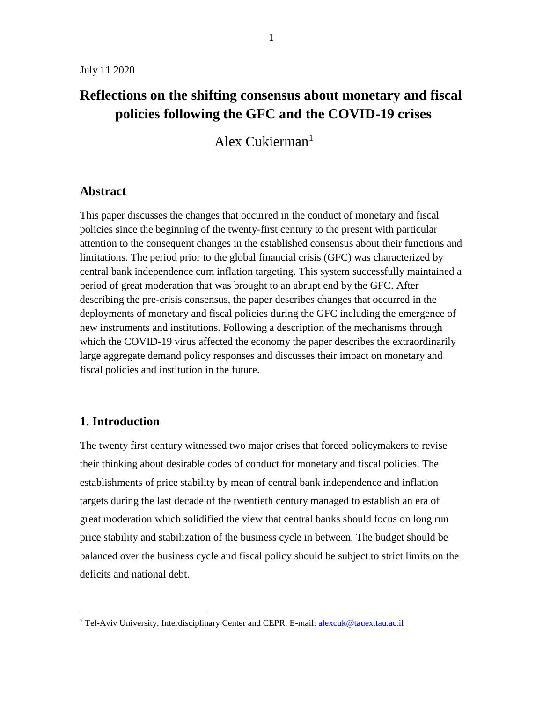# **Reflections on the shifting consensus about monetary and fiscal policies following the GFC and the COVID-19 crises**

Alex Cukierman<sup>1</sup>

### **Abstract**

This paper discusses the changes that occurred in the conduct of monetary and fiscal policies since the beginning of the twenty-first century to the present with particular attention to the consequent changes in the established consensus about their functions and limitations. The period prior to the global financial crisis (GFC) was characterized by central bank independence cum inflation targeting. This system successfully maintained a period of great moderation that was brought to an abrupt end by the GFC. After describing the pre-crisis consensus, the paper describes changes that occurred in the deployments of monetary and fiscal policies during the GFC including the emergence of new instruments and institutions. Following a description of the mechanisms through which the COVID-19 virus affected the economy the paper describes the extraordinarily large aggregate demand policy responses and discusses their impact on monetary and fiscal policies and institution in the future.

## **1. Introduction**

 $\overline{a}$ 

The twenty first century witnessed two major crises that forced policymakers to revise their thinking about desirable codes of conduct for monetary and fiscal policies. The establishments of price stability by mean of central bank independence and inflation targets during the last decade of the twentieth century managed to establish an era of great moderation which solidified the view that central banks should focus on long run price stability and stabilization of the business cycle in between. The budget should be balanced over the business cycle and fiscal policy should be subject to strict limits on the deficits and national debt.

<sup>&</sup>lt;sup>1</sup> Tel-Aviv University, Interdisciplinary Center and CEPR. E-mail: [alexcuk@tauex.tau.ac.il](mailto:alexcuk@tauex.tau.ac.il)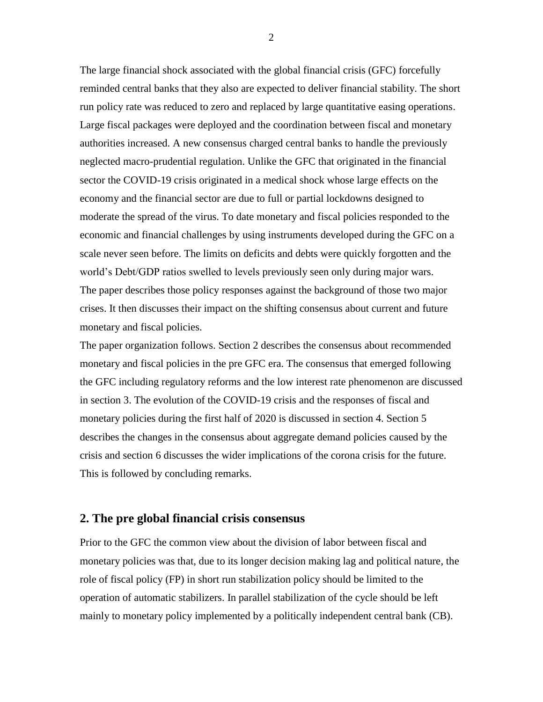The large financial shock associated with the global financial crisis (GFC) forcefully reminded central banks that they also are expected to deliver financial stability. The short run policy rate was reduced to zero and replaced by large quantitative easing operations. Large fiscal packages were deployed and the coordination between fiscal and monetary authorities increased. A new consensus charged central banks to handle the previously neglected macro-prudential regulation. Unlike the GFC that originated in the financial sector the COVID-19 crisis originated in a medical shock whose large effects on the economy and the financial sector are due to full or partial lockdowns designed to moderate the spread of the virus. To date monetary and fiscal policies responded to the economic and financial challenges by using instruments developed during the GFC on a scale never seen before. The limits on deficits and debts were quickly forgotten and the world's Debt/GDP ratios swelled to levels previously seen only during major wars. The paper describes those policy responses against the background of those two major crises. It then discusses their impact on the shifting consensus about current and future monetary and fiscal policies.

The paper organization follows. Section 2 describes the consensus about recommended monetary and fiscal policies in the pre GFC era. The consensus that emerged following the GFC including regulatory reforms and the low interest rate phenomenon are discussed in section 3. The evolution of the COVID-19 crisis and the responses of fiscal and monetary policies during the first half of 2020 is discussed in section 4. Section 5 describes the changes in the consensus about aggregate demand policies caused by the crisis and section 6 discusses the wider implications of the corona crisis for the future. This is followed by concluding remarks.

#### **2. The pre global financial crisis consensus**

Prior to the GFC the common view about the division of labor between fiscal and monetary policies was that, due to its longer decision making lag and political nature, the role of fiscal policy (FP) in short run stabilization policy should be limited to the operation of automatic stabilizers. In parallel stabilization of the cycle should be left mainly to monetary policy implemented by a politically independent central bank (CB).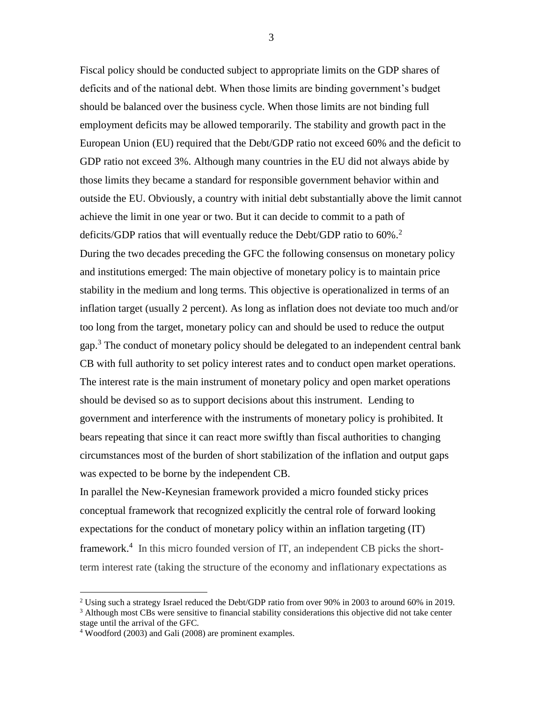Fiscal policy should be conducted subject to appropriate limits on the GDP shares of deficits and of the national debt. When those limits are binding government's budget should be balanced over the business cycle. When those limits are not binding full employment deficits may be allowed temporarily. The stability and growth pact in the European Union (EU) required that the Debt/GDP ratio not exceed 60% and the deficit to GDP ratio not exceed 3%. Although many countries in the EU did not always abide by those limits they became a standard for responsible government behavior within and outside the EU. Obviously, a country with initial debt substantially above the limit cannot achieve the limit in one year or two. But it can decide to commit to a path of deficits/GDP ratios that will eventually reduce the Debt/GDP ratio to 60%.<sup>2</sup> During the two decades preceding the GFC the following consensus on monetary policy and institutions emerged: The main objective of monetary policy is to maintain price stability in the medium and long terms. This objective is operationalized in terms of an inflation target (usually 2 percent). As long as inflation does not deviate too much and/or too long from the target, monetary policy can and should be used to reduce the output gap.<sup>3</sup> The conduct of monetary policy should be delegated to an independent central bank CB with full authority to set policy interest rates and to conduct open market operations. The interest rate is the main instrument of monetary policy and open market operations should be devised so as to support decisions about this instrument. Lending to government and interference with the instruments of monetary policy is prohibited. It bears repeating that since it can react more swiftly than fiscal authorities to changing circumstances most of the burden of short stabilization of the inflation and output gaps was expected to be borne by the independent CB.

In parallel the New-Keynesian framework provided a micro founded sticky prices conceptual framework that recognized explicitly the central role of forward looking expectations for the conduct of monetary policy within an inflation targeting (IT) framework.<sup>4</sup> In this micro founded version of IT, an independent CB picks the shortterm interest rate (taking the structure of the economy and inflationary expectations as

 $\overline{a}$ 

<sup>&</sup>lt;sup>2</sup> Using such a strategy Israel reduced the Debt/GDP ratio from over 90% in 2003 to around 60% in 2019.

<sup>&</sup>lt;sup>3</sup> Although most CBs were sensitive to financial stability considerations this objective did not take center stage until the arrival of the GFC.

<sup>4</sup> Woodford (2003) and Gali (2008) are prominent examples.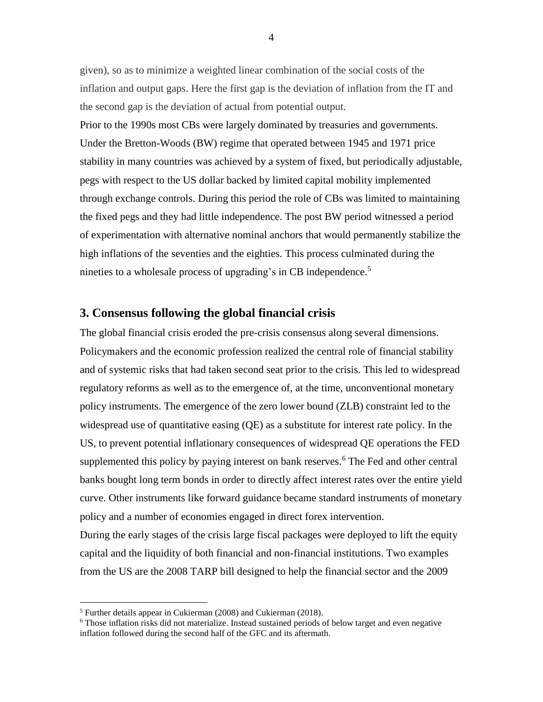given), so as to minimize a weighted linear combination of the social costs of the inflation and output gaps. Here the first gap is the deviation of inflation from the IT and the second gap is the deviation of actual from potential output.

Prior to the 1990s most CBs were largely dominated by treasuries and governments. Under the Bretton-Woods (BW) regime that operated between 1945 and 1971 price stability in many countries was achieved by a system of fixed, but periodically adjustable, pegs with respect to the US dollar backed by limited capital mobility implemented through exchange controls. During this period the role of CBs was limited to maintaining the fixed pegs and they had little independence. The post BW period witnessed a period of experimentation with alternative nominal anchors that would permanently stabilize the high inflations of the seventies and the eighties. This process culminated during the nineties to a wholesale process of upgrading's in CB independence.<sup>5</sup>

#### **3. Consensus following the global financial crisis**

The global financial crisis eroded the pre-crisis consensus along several dimensions. Policymakers and the economic profession realized the central role of financial stability and of systemic risks that had taken second seat prior to the crisis. This led to widespread regulatory reforms as well as to the emergence of, at the time, unconventional monetary policy instruments. The emergence of the zero lower bound (ZLB) constraint led to the widespread use of quantitative easing (QE) as a substitute for interest rate policy. In the US, to prevent potential inflationary consequences of widespread QE operations the FED supplemented this policy by paying interest on bank reserves.<sup>6</sup> The Fed and other central banks bought long term bonds in order to directly affect interest rates over the entire yield curve. Other instruments like forward guidance became standard instruments of monetary policy and a number of economies engaged in direct forex intervention.

During the early stages of the crisis large fiscal packages were deployed to lift the equity capital and the liquidity of both financial and non-financial institutions. Two examples from the US are the 2008 TARP bill designed to help the financial sector and the 2009

<sup>5</sup> Further details appear in Cukierman (2008) and Cukierman (2018).

 $6$  Those inflation risks did not materialize. Instead sustained periods of below target and even negative inflation followed during the second half of the GFC and its aftermath.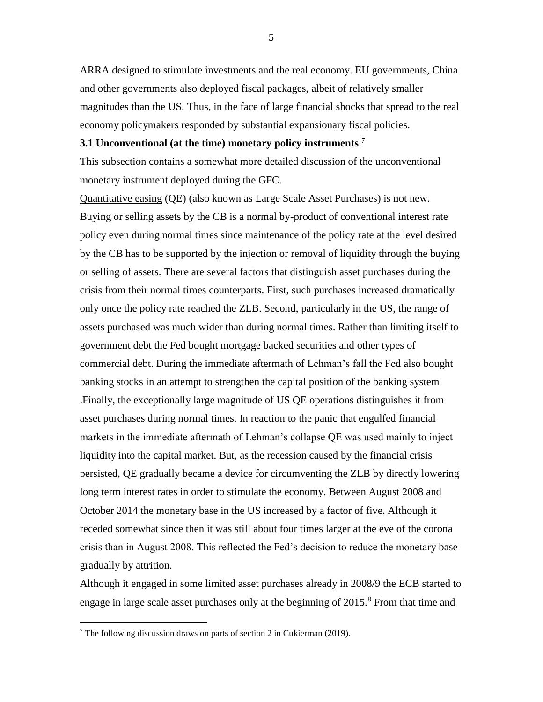ARRA designed to stimulate investments and the real economy. EU governments, China and other governments also deployed fiscal packages, albeit of relatively smaller magnitudes than the US. Thus, in the face of large financial shocks that spread to the real economy policymakers responded by substantial expansionary fiscal policies.

#### **3.1 Unconventional (at the time) monetary policy instruments**. 7

This subsection contains a somewhat more detailed discussion of the unconventional monetary instrument deployed during the GFC.

Quantitative easing (QE) (also known as Large Scale Asset Purchases) is not new. Buying or selling assets by the CB is a normal by-product of conventional interest rate policy even during normal times since maintenance of the policy rate at the level desired by the CB has to be supported by the injection or removal of liquidity through the buying or selling of assets. There are several factors that distinguish asset purchases during the crisis from their normal times counterparts. First, such purchases increased dramatically only once the policy rate reached the ZLB. Second, particularly in the US, the range of assets purchased was much wider than during normal times. Rather than limiting itself to government debt the Fed bought mortgage backed securities and other types of commercial debt. During the immediate aftermath of Lehman's fall the Fed also bought banking stocks in an attempt to strengthen the capital position of the banking system .Finally, the exceptionally large magnitude of US QE operations distinguishes it from asset purchases during normal times. In reaction to the panic that engulfed financial markets in the immediate aftermath of Lehman's collapse QE was used mainly to inject liquidity into the capital market. But, as the recession caused by the financial crisis persisted, QE gradually became a device for circumventing the ZLB by directly lowering long term interest rates in order to stimulate the economy. Between August 2008 and October 2014 the monetary base in the US increased by a factor of five. Although it receded somewhat since then it was still about four times larger at the eve of the corona crisis than in August 2008. This reflected the Fed's decision to reduce the monetary base gradually by attrition.

Although it engaged in some limited asset purchases already in 2008/9 the ECB started to engage in large scale asset purchases only at the beginning of  $2015$ .<sup>8</sup> From that time and

 $7$  The following discussion draws on parts of section 2 in Cukierman (2019).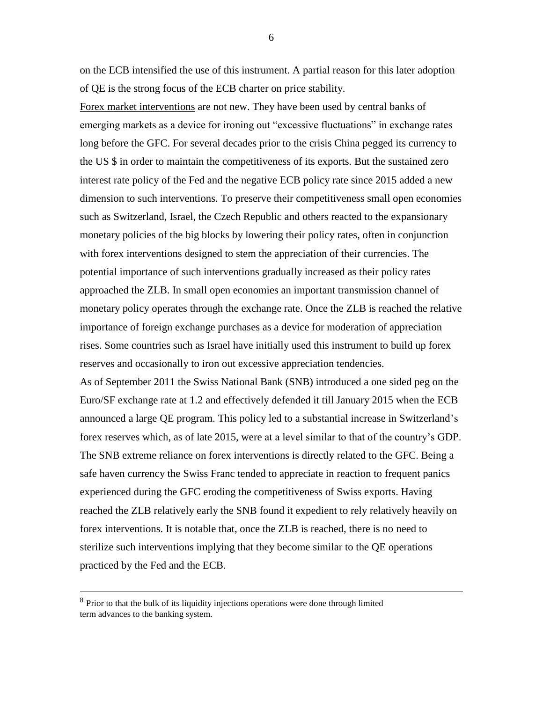on the ECB intensified the use of this instrument. A partial reason for this later adoption of QE is the strong focus of the ECB charter on price stability.

Forex market interventions are not new. They have been used by central banks of emerging markets as a device for ironing out "excessive fluctuations" in exchange rates long before the GFC. For several decades prior to the crisis China pegged its currency to the US \$ in order to maintain the competitiveness of its exports. But the sustained zero interest rate policy of the Fed and the negative ECB policy rate since 2015 added a new dimension to such interventions. To preserve their competitiveness small open economies such as Switzerland, Israel, the Czech Republic and others reacted to the expansionary monetary policies of the big blocks by lowering their policy rates, often in conjunction with forex interventions designed to stem the appreciation of their currencies. The potential importance of such interventions gradually increased as their policy rates approached the ZLB. In small open economies an important transmission channel of monetary policy operates through the exchange rate. Once the ZLB is reached the relative importance of foreign exchange purchases as a device for moderation of appreciation rises. Some countries such as Israel have initially used this instrument to build up forex reserves and occasionally to iron out excessive appreciation tendencies.

As of September 2011 the Swiss National Bank (SNB) introduced a one sided peg on the Euro/SF exchange rate at 1.2 and effectively defended it till January 2015 when the ECB announced a large QE program. This policy led to a substantial increase in Switzerland's forex reserves which, as of late 2015, were at a level similar to that of the country's GDP. The SNB extreme reliance on forex interventions is directly related to the GFC. Being a safe haven currency the Swiss Franc tended to appreciate in reaction to frequent panics experienced during the GFC eroding the competitiveness of Swiss exports. Having reached the ZLB relatively early the SNB found it expedient to rely relatively heavily on forex interventions. It is notable that, once the ZLB is reached, there is no need to sterilize such interventions implying that they become similar to the QE operations practiced by the Fed and the ECB.

 $\overline{a}$ 

<sup>&</sup>lt;sup>8</sup> Prior to that the bulk of its liquidity injections operations were done through limited term advances to the banking system.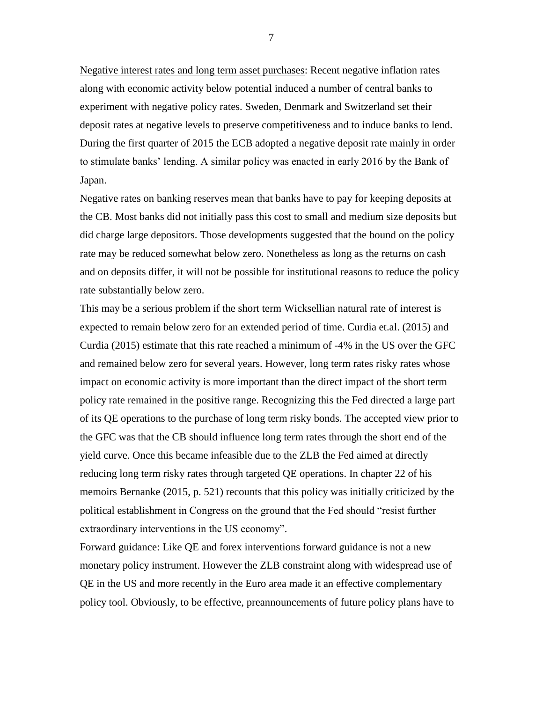Negative interest rates and long term asset purchases: Recent negative inflation rates along with economic activity below potential induced a number of central banks to experiment with negative policy rates. Sweden, Denmark and Switzerland set their deposit rates at negative levels to preserve competitiveness and to induce banks to lend. During the first quarter of 2015 the ECB adopted a negative deposit rate mainly in order to stimulate banks' lending. A similar policy was enacted in early 2016 by the Bank of Japan.

Negative rates on banking reserves mean that banks have to pay for keeping deposits at the CB. Most banks did not initially pass this cost to small and medium size deposits but did charge large depositors. Those developments suggested that the bound on the policy rate may be reduced somewhat below zero. Nonetheless as long as the returns on cash and on deposits differ, it will not be possible for institutional reasons to reduce the policy rate substantially below zero.

This may be a serious problem if the short term Wicksellian natural rate of interest is expected to remain below zero for an extended period of time. Curdia et.al. (2015) and Curdia (2015) estimate that this rate reached a minimum of -4% in the US over the GFC and remained below zero for several years. However, long term rates risky rates whose impact on economic activity is more important than the direct impact of the short term policy rate remained in the positive range. Recognizing this the Fed directed a large part of its QE operations to the purchase of long term risky bonds. The accepted view prior to the GFC was that the CB should influence long term rates through the short end of the yield curve. Once this became infeasible due to the ZLB the Fed aimed at directly reducing long term risky rates through targeted QE operations. In chapter 22 of his memoirs Bernanke (2015, p. 521) recounts that this policy was initially criticized by the political establishment in Congress on the ground that the Fed should "resist further extraordinary interventions in the US economy".

Forward guidance: Like QE and forex interventions forward guidance is not a new monetary policy instrument. However the ZLB constraint along with widespread use of QE in the US and more recently in the Euro area made it an effective complementary policy tool. Obviously, to be effective, preannouncements of future policy plans have to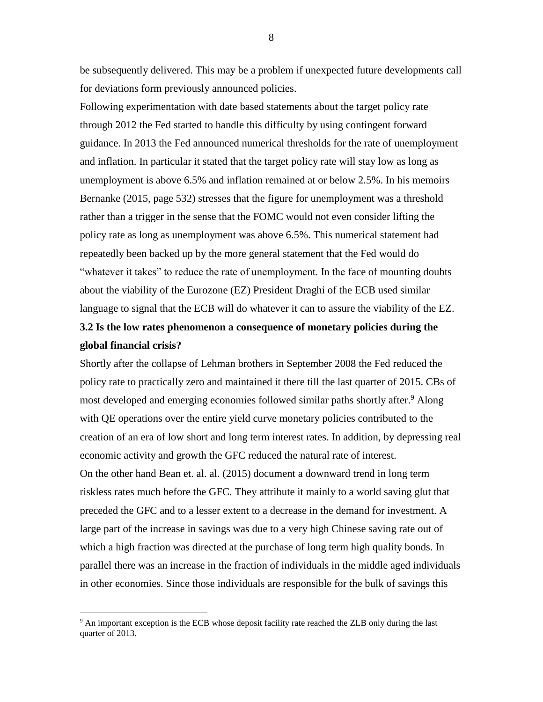be subsequently delivered. This may be a problem if unexpected future developments call for deviations form previously announced policies.

Following experimentation with date based statements about the target policy rate through 2012 the Fed started to handle this difficulty by using contingent forward guidance. In 2013 the Fed announced numerical thresholds for the rate of unemployment and inflation. In particular it stated that the target policy rate will stay low as long as unemployment is above 6.5% and inflation remained at or below 2.5%. In his memoirs Bernanke (2015, page 532) stresses that the figure for unemployment was a threshold rather than a trigger in the sense that the FOMC would not even consider lifting the policy rate as long as unemployment was above 6.5%. This numerical statement had repeatedly been backed up by the more general statement that the Fed would do "whatever it takes" to reduce the rate of unemployment. In the face of mounting doubts about the viability of the Eurozone (EZ) President Draghi of the ECB used similar language to signal that the ECB will do whatever it can to assure the viability of the EZ.

## **3.2 Is the low rates phenomenon a consequence of monetary policies during the global financial crisis?**

Shortly after the collapse of Lehman brothers in September 2008 the Fed reduced the policy rate to practically zero and maintained it there till the last quarter of 2015. CBs of most developed and emerging economies followed similar paths shortly after.<sup>9</sup> Along with QE operations over the entire yield curve monetary policies contributed to the creation of an era of low short and long term interest rates. In addition, by depressing real economic activity and growth the GFC reduced the natural rate of interest. On the other hand Bean et. al. al. (2015) document a downward trend in long term riskless rates much before the GFC. They attribute it mainly to a world saving glut that preceded the GFC and to a lesser extent to a decrease in the demand for investment. A large part of the increase in savings was due to a very high Chinese saving rate out of which a high fraction was directed at the purchase of long term high quality bonds. In parallel there was an increase in the fraction of individuals in the middle aged individuals in other economies. Since those individuals are responsible for the bulk of savings this

 $\overline{a}$ 

<sup>&</sup>lt;sup>9</sup> An important exception is the ECB whose deposit facility rate reached the ZLB only during the last quarter of 2013.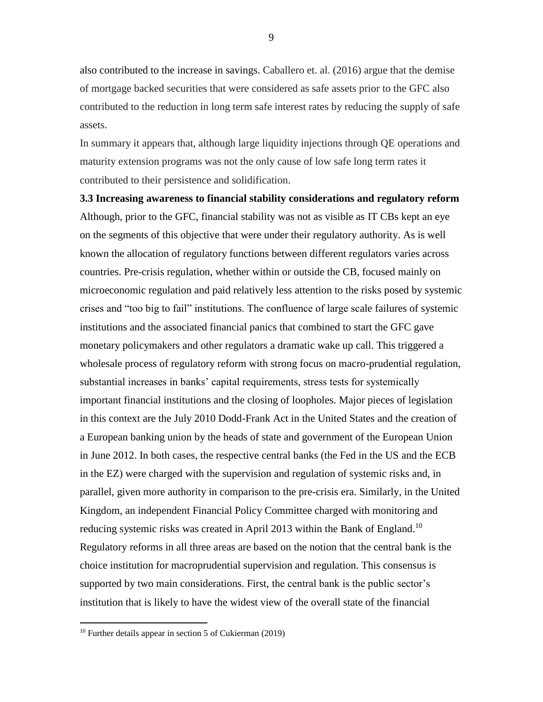also contributed to the increase in savings. Caballero et. al. (2016) argue that the demise of mortgage backed securities that were considered as safe assets prior to the GFC also contributed to the reduction in long term safe interest rates by reducing the supply of safe assets.

In summary it appears that, although large liquidity injections through QE operations and maturity extension programs was not the only cause of low safe long term rates it contributed to their persistence and solidification.

**3.3 Increasing awareness to financial stability considerations and regulatory reform** Although, prior to the GFC, financial stability was not as visible as IT CBs kept an eye on the segments of this objective that were under their regulatory authority. As is well known the allocation of regulatory functions between different regulators varies across countries. Pre-crisis regulation, whether within or outside the CB, focused mainly on microeconomic regulation and paid relatively less attention to the risks posed by systemic crises and "too big to fail" institutions. The confluence of large scale failures of systemic institutions and the associated financial panics that combined to start the GFC gave monetary policymakers and other regulators a dramatic wake up call. This triggered a wholesale process of regulatory reform with strong focus on macro-prudential regulation, substantial increases in banks' capital requirements, stress tests for systemically important financial institutions and the closing of loopholes. Major pieces of legislation in this context are the July 2010 Dodd-Frank Act in the United States and the creation of a European banking union by the heads of state and government of the European Union in June 2012. In both cases, the respective central banks (the Fed in the US and the ECB in the EZ) were charged with the supervision and regulation of systemic risks and, in parallel, given more authority in comparison to the pre-crisis era. Similarly, in the United Kingdom, an independent Financial Policy Committee charged with monitoring and reducing systemic risks was created in April 2013 within the Bank of England.<sup>10</sup> Regulatory reforms in all three areas are based on the notion that the central bank is the choice institution for macroprudential supervision and regulation. This consensus is supported by two main considerations. First, the central bank is the public sector's institution that is likely to have the widest view of the overall state of the financial

<sup>&</sup>lt;sup>10</sup> Further details appear in section 5 of Cukierman  $(2019)$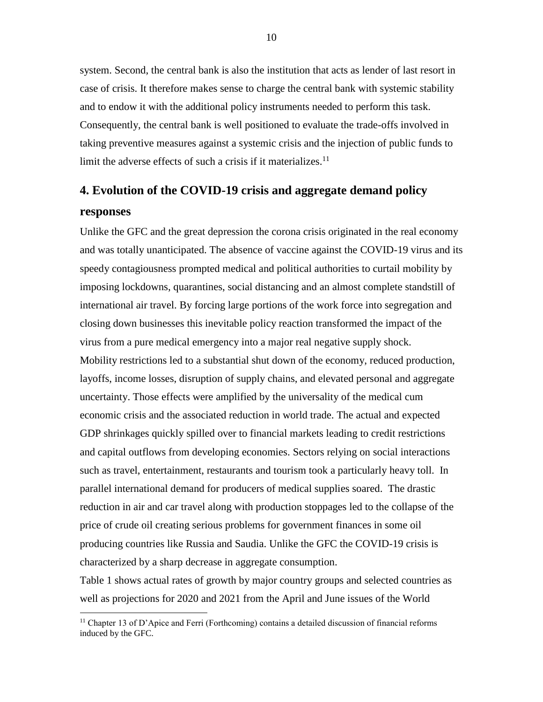system. Second, the central bank is also the institution that acts as lender of last resort in case of crisis. It therefore makes sense to charge the central bank with systemic stability and to endow it with the additional policy instruments needed to perform this task. Consequently, the central bank is well positioned to evaluate the trade-offs involved in taking preventive measures against a systemic crisis and the injection of public funds to limit the adverse effects of such a crisis if it materializes. $11$ 

# **4. Evolution of the COVID-19 crisis and aggregate demand policy responses**

Unlike the GFC and the great depression the corona crisis originated in the real economy and was totally unanticipated. The absence of vaccine against the COVID-19 virus and its speedy contagiousness prompted medical and political authorities to curtail mobility by imposing lockdowns, quarantines, social distancing and an almost complete standstill of international air travel. By forcing large portions of the work force into segregation and closing down businesses this inevitable policy reaction transformed the impact of the virus from a pure medical emergency into a major real negative supply shock. Mobility restrictions led to a substantial shut down of the economy, reduced production, layoffs, income losses, disruption of supply chains, and elevated personal and aggregate uncertainty. Those effects were amplified by the universality of the medical cum economic crisis and the associated reduction in world trade. The actual and expected GDP shrinkages quickly spilled over to financial markets leading to credit restrictions and capital outflows from developing economies. Sectors relying on social interactions such as travel, entertainment, restaurants and tourism took a particularly heavy toll. In parallel international demand for producers of medical supplies soared. The drastic reduction in air and car travel along with production stoppages led to the collapse of the price of crude oil creating serious problems for government finances in some oil producing countries like Russia and Saudia. Unlike the GFC the COVID-19 crisis is characterized by a sharp decrease in aggregate consumption.

Table 1 shows actual rates of growth by major country groups and selected countries as well as projections for 2020 and 2021 from the April and June issues of the World

 $11$  Chapter 13 of D'Apice and Ferri (Forthcoming) contains a detailed discussion of financial reforms induced by the GFC.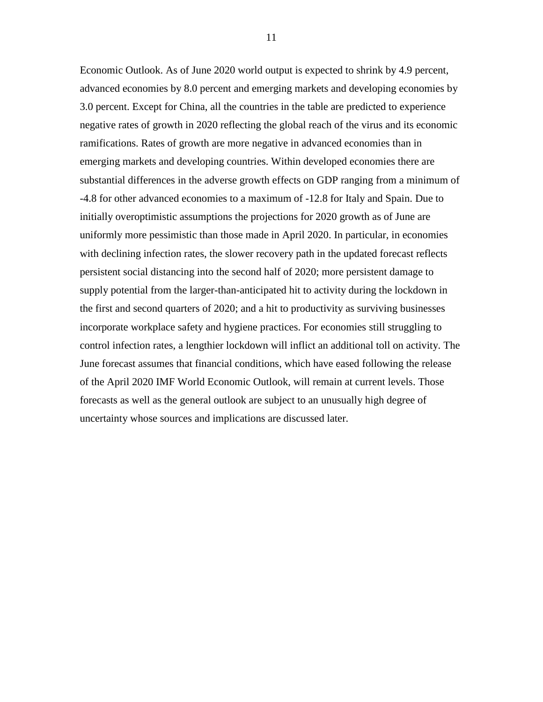Economic Outlook. As of June 2020 world output is expected to shrink by 4.9 percent, advanced economies by 8.0 percent and emerging markets and developing economies by 3.0 percent. Except for China, all the countries in the table are predicted to experience negative rates of growth in 2020 reflecting the global reach of the virus and its economic ramifications. Rates of growth are more negative in advanced economies than in emerging markets and developing countries. Within developed economies there are substantial differences in the adverse growth effects on GDP ranging from a minimum of -4.8 for other advanced economies to a maximum of -12.8 for Italy and Spain. Due to initially overoptimistic assumptions the projections for 2020 growth as of June are uniformly more pessimistic than those made in April 2020. In particular, in economies with declining infection rates, the slower recovery path in the updated forecast reflects persistent social distancing into the second half of 2020; more persistent damage to supply potential from the larger-than-anticipated hit to activity during the lockdown in the first and second quarters of 2020; and a hit to productivity as surviving businesses incorporate workplace safety and hygiene practices. For economies still struggling to control infection rates, a lengthier lockdown will inflict an additional toll on activity. The June forecast assumes that financial conditions, which have eased following the release of the April 2020 IMF World Economic Outlook, will remain at current levels. Those forecasts as well as the general outlook are subject to an unusually high degree of uncertainty whose sources and implications are discussed later.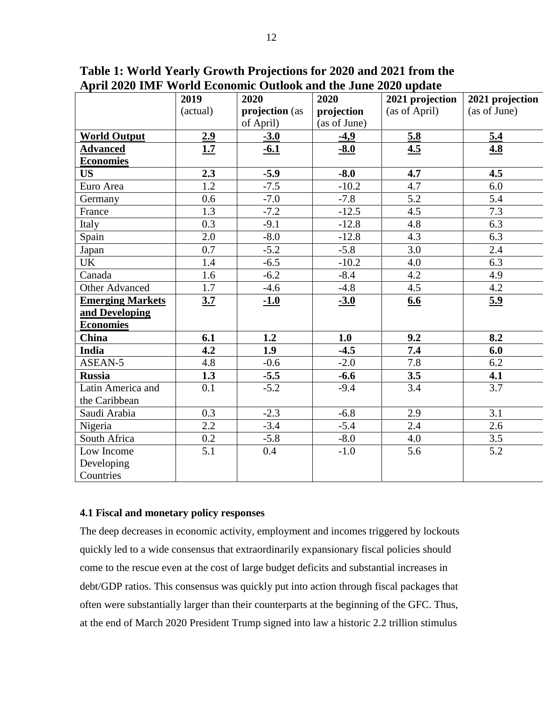| *** <del>=</del> *** ***** | 2019       | 2020           | 2020         | 2021 projection | 2021 projection |
|----------------------------|------------|----------------|--------------|-----------------|-----------------|
|                            | (actual)   | projection (as | projection   | (as of April)   | (as of June)    |
|                            |            | of April)      | (as of June) |                 |                 |
| <b>World Output</b>        | 2.9        | $-3.0$         | $-4,9$       | 5.8             | 5.4             |
| <b>Advanced</b>            | <u>1.7</u> | $-6.1$         | $-8.0$       | 4.5             | 4.8             |
| <b>Economies</b>           |            |                |              |                 |                 |
| <b>US</b>                  | 2.3        | $-5.9$         | $-8.0$       | 4.7             | 4.5             |
| Euro Area                  | 1.2        | $-7.5$         | $-10.2$      | 4.7             | 6.0             |
| Germany                    | 0.6        | $-7.0$         | $-7.8$       | 5.2             | 5.4             |
| France                     | 1.3        | $-7.2$         | $-12.5$      | 4.5             | 7.3             |
| Italy                      | 0.3        | $-9.1$         | $-12.8$      | 4.8             | 6.3             |
| Spain                      | 2.0        | $-8.0$         | $-12.8$      | 4.3             | 6.3             |
| Japan                      | 0.7        | $-5.2$         | $-5.8$       | 3.0             | 2.4             |
| <b>UK</b>                  | 1.4        | $-6.5$         | $-10.2$      | 4.0             | 6.3             |
| Canada                     | 1.6        | $-6.2$         | $-8.4$       | 4.2             | 4.9             |
| Other Advanced             | 1.7        | $-4.6$         | $-4.8$       | 4.5             | 4.2             |
| <b>Emerging Markets</b>    | 3.7        | $-1.0$         | $-3.0$       | 6.6             | 5.9             |
| and Developing             |            |                |              |                 |                 |
| <b>Economies</b>           |            |                |              |                 |                 |
| China                      | 6.1        | 1.2            | 1.0          | 9.2             | 8.2             |
| India                      | 4.2        | 1.9            | $-4.5$       | 7.4             | 6.0             |
| ASEAN-5                    | 4.8        | $-0.6$         | $-2.0$       | 7.8             | 6.2             |
| <b>Russia</b>              | 1.3        | $-5.5$         | $-6.6$       | 3.5             | 4.1             |
| Latin America and          | 0.1        | $-5.2$         | $-9.4$       | 3.4             | 3.7             |
| the Caribbean              |            |                |              |                 |                 |
| Saudi Arabia               | 0.3        | $-2.3$         | $-6.8$       | 2.9             | 3.1             |
| Nigeria                    | 2.2        | $-3.4$         | $-5.4$       | 2.4             | 2.6             |
| South Africa               | 0.2        | $-5.8$         | $-8.0$       | 4.0             | 3.5             |
| Low Income                 | 5.1        | 0.4            | $-1.0$       | 5.6             | 5.2             |
| Developing                 |            |                |              |                 |                 |
| Countries                  |            |                |              |                 |                 |

**Table 1: World Yearly Growth Projections for 2020 and 2021 from the April 2020 IMF World Economic Outlook and the June 2020 update**

#### **4.1 Fiscal and monetary policy responses**

The deep decreases in economic activity, employment and incomes triggered by lockouts quickly led to a wide consensus that extraordinarily expansionary fiscal policies should come to the rescue even at the cost of large budget deficits and substantial increases in debt/GDP ratios. This consensus was quickly put into action through fiscal packages that often were substantially larger than their counterparts at the beginning of the GFC. Thus, at the end of March 2020 President Trump signed into law a historic 2.2 trillion stimulus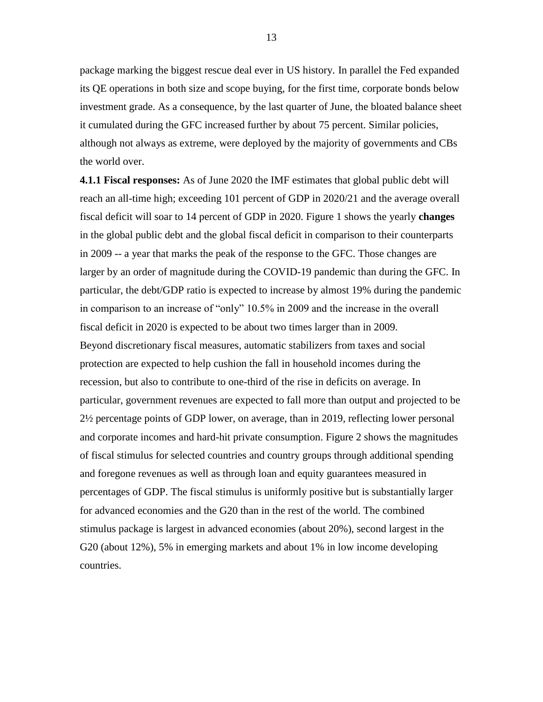package marking the biggest rescue deal ever in US history. In parallel the Fed expanded its QE operations in both size and scope buying, for the first time, corporate bonds below investment grade. As a consequence, by the last quarter of June, the bloated balance sheet it cumulated during the GFC increased further by about 75 percent. Similar policies, although not always as extreme, were deployed by the majority of governments and CBs the world over.

**4.1.1 Fiscal responses:** As of June 2020 the IMF estimates that global public debt will reach an all-time high; exceeding 101 percent of GDP in 2020/21 and the average overall fiscal deficit will soar to 14 percent of GDP in 2020. Figure 1 shows the yearly **changes** in the global public debt and the global fiscal deficit in comparison to their counterparts in 2009 -- a year that marks the peak of the response to the GFC. Those changes are larger by an order of magnitude during the COVID-19 pandemic than during the GFC. In particular, the debt/GDP ratio is expected to increase by almost 19% during the pandemic in comparison to an increase of "only" 10.5% in 2009 and the increase in the overall fiscal deficit in 2020 is expected to be about two times larger than in 2009. Beyond discretionary fiscal measures, automatic stabilizers from taxes and social protection are expected to help cushion the fall in household incomes during the recession, but also to contribute to one-third of the rise in deficits on average. In particular, government revenues are expected to fall more than output and projected to be 2½ percentage points of GDP lower, on average, than in 2019, reflecting lower personal and corporate incomes and hard-hit private consumption. Figure 2 shows the magnitudes of fiscal stimulus for selected countries and country groups through additional spending and foregone revenues as well as through loan and equity guarantees measured in percentages of GDP. The fiscal stimulus is uniformly positive but is substantially larger for advanced economies and the G20 than in the rest of the world. The combined stimulus package is largest in advanced economies (about 20%), second largest in the G20 (about 12%), 5% in emerging markets and about 1% in low income developing countries.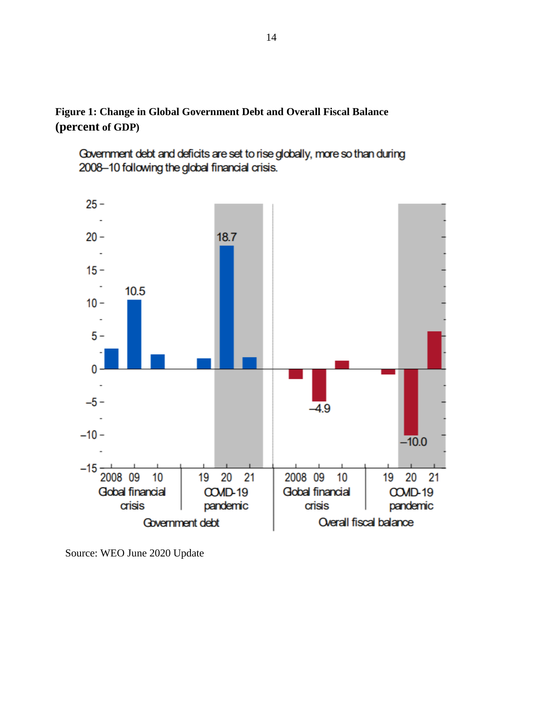**Figure 1: Change in Global Government Debt and Overall Fiscal Balance (percent of GDP)**

Government debt and deficits are set to rise globally, more so than during 2008-10 following the global financial crisis.



Source: WEO June 2020 Update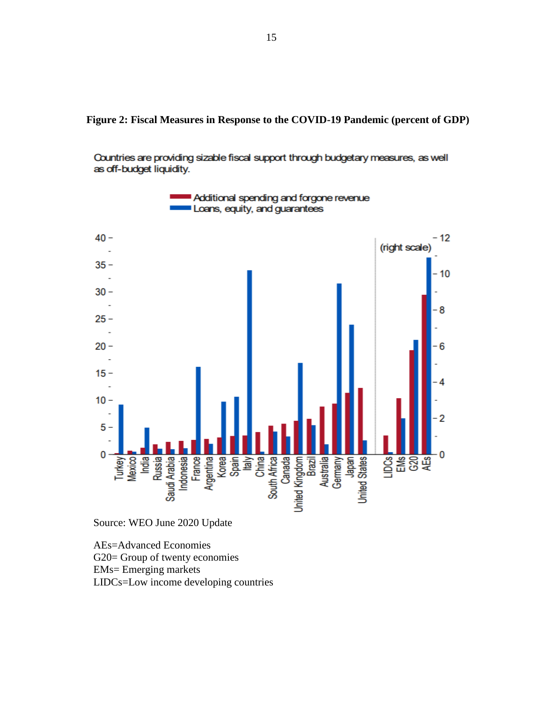Countries are providing sizable fiscal support through budgetary measures, as well as off-budget liquidity.



Source: WEO June 2020 Update

AEs=Advanced Economies

G20= Group of twenty economies

EMs= Emerging markets

LIDCs=Low income developing countries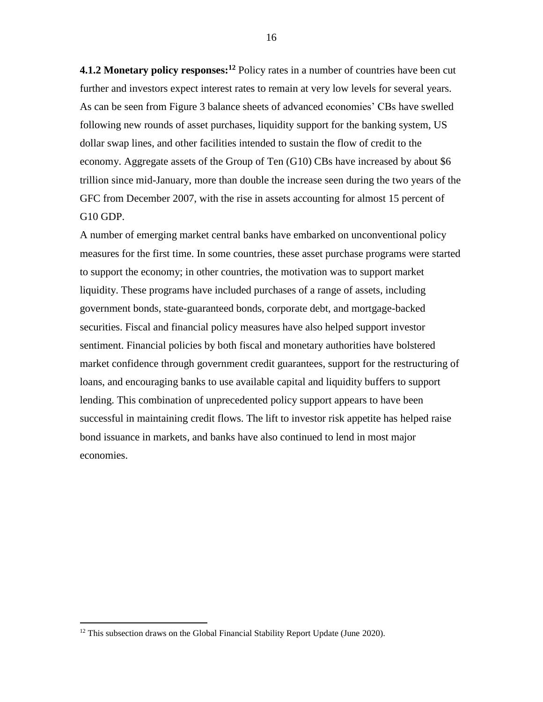**4.1.2 Monetary policy responses:<sup>12</sup>** Policy rates in a number of countries have been cut further and investors expect interest rates to remain at very low levels for several years. As can be seen from Figure 3 balance sheets of advanced economies' CBs have swelled following new rounds of asset purchases, liquidity support for the banking system, US dollar swap lines, and other facilities intended to sustain the flow of credit to the economy. Aggregate assets of the Group of Ten (G10) CBs have increased by about \$6 trillion since mid-January, more than double the increase seen during the two years of the GFC from December 2007, with the rise in assets accounting for almost 15 percent of G10 GDP.

A number of emerging market central banks have embarked on unconventional policy measures for the first time. In some countries, these asset purchase programs were started to support the economy; in other countries, the motivation was to support market liquidity. These programs have included purchases of a range of assets, including government bonds, state-guaranteed bonds, corporate debt, and mortgage-backed securities. Fiscal and financial policy measures have also helped support investor sentiment. Financial policies by both fiscal and monetary authorities have bolstered market confidence through government credit guarantees, support for the restructuring of loans, and encouraging banks to use available capital and liquidity buffers to support lending. This combination of unprecedented policy support appears to have been successful in maintaining credit flows. The lift to investor risk appetite has helped raise bond issuance in markets, and banks have also continued to lend in most major economies.

<sup>&</sup>lt;sup>12</sup> This subsection draws on the Global Financial Stability Report Update (June 2020).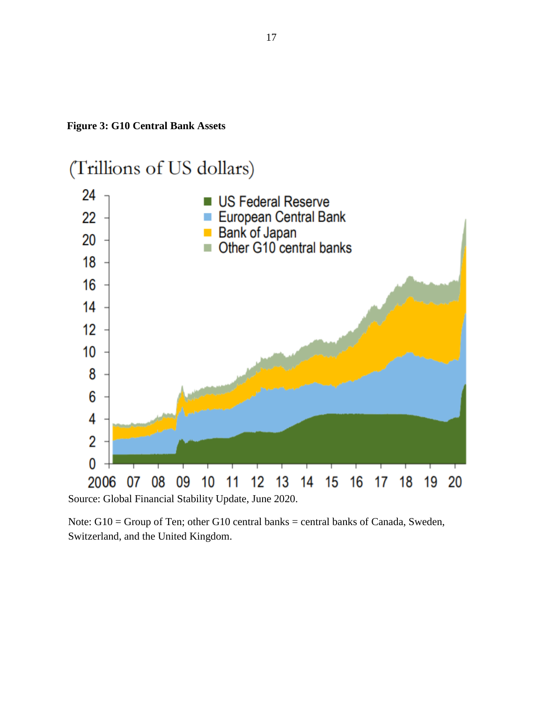



Source: Global Financial Stability Update, June 2020.

Note: G10 = Group of Ten; other G10 central banks = central banks of Canada, Sweden, Switzerland, and the United Kingdom.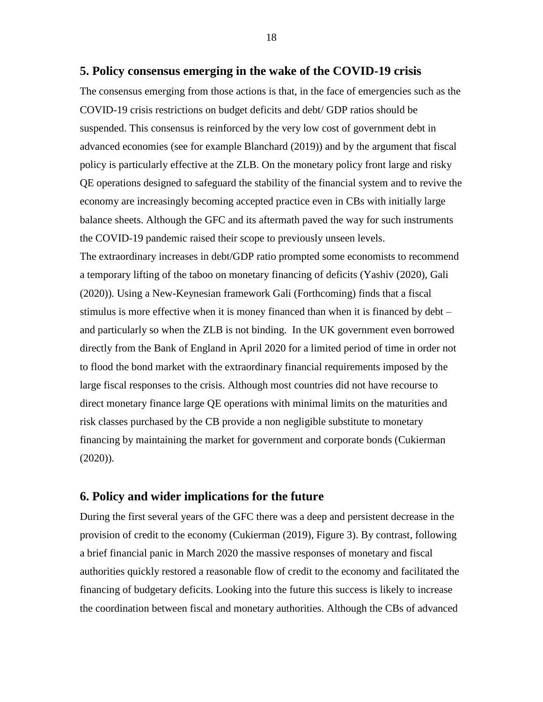#### **5. Policy consensus emerging in the wake of the COVID-19 crisis**

The consensus emerging from those actions is that, in the face of emergencies such as the COVID-19 crisis restrictions on budget deficits and debt/ GDP ratios should be suspended. This consensus is reinforced by the very low cost of government debt in advanced economies (see for example Blanchard (2019)) and by the argument that fiscal policy is particularly effective at the ZLB. On the monetary policy front large and risky QE operations designed to safeguard the stability of the financial system and to revive the economy are increasingly becoming accepted practice even in CBs with initially large balance sheets. Although the GFC and its aftermath paved the way for such instruments the COVID-19 pandemic raised their scope to previously unseen levels. The extraordinary increases in debt/GDP ratio prompted some economists to recommend a temporary lifting of the taboo on monetary financing of deficits (Yashiv (2020), Gali (2020)). Using a New-Keynesian framework Gali (Forthcoming) finds that a fiscal stimulus is more effective when it is money financed than when it is financed by debt – and particularly so when the ZLB is not binding. In the UK government even borrowed directly from the Bank of England in April 2020 for a limited period of time in order not to flood the bond market with the extraordinary financial requirements imposed by the large fiscal responses to the crisis. Although most countries did not have recourse to direct monetary finance large QE operations with minimal limits on the maturities and risk classes purchased by the CB provide a non negligible substitute to monetary financing by maintaining the market for government and corporate bonds (Cukierman  $(2020)$ ).

#### **6. Policy and wider implications for the future**

During the first several years of the GFC there was a deep and persistent decrease in the provision of credit to the economy (Cukierman (2019), Figure 3). By contrast, following a brief financial panic in March 2020 the massive responses of monetary and fiscal authorities quickly restored a reasonable flow of credit to the economy and facilitated the financing of budgetary deficits. Looking into the future this success is likely to increase the coordination between fiscal and monetary authorities. Although the CBs of advanced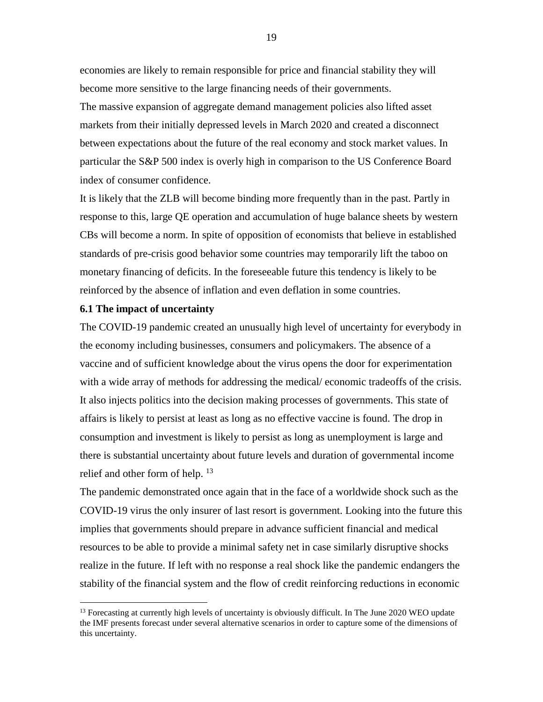economies are likely to remain responsible for price and financial stability they will become more sensitive to the large financing needs of their governments.

The massive expansion of aggregate demand management policies also lifted asset markets from their initially depressed levels in March 2020 and created a disconnect between expectations about the future of the real economy and stock market values. In particular the S&P 500 index is overly high in comparison to the US Conference Board index of consumer confidence.

It is likely that the ZLB will become binding more frequently than in the past. Partly in response to this, large QE operation and accumulation of huge balance sheets by western CBs will become a norm. In spite of opposition of economists that believe in established standards of pre-crisis good behavior some countries may temporarily lift the taboo on monetary financing of deficits. In the foreseeable future this tendency is likely to be reinforced by the absence of inflation and even deflation in some countries.

#### **6.1 The impact of uncertainty**

 $\overline{a}$ 

The COVID-19 pandemic created an unusually high level of uncertainty for everybody in the economy including businesses, consumers and policymakers. The absence of a vaccine and of sufficient knowledge about the virus opens the door for experimentation with a wide array of methods for addressing the medical/ economic tradeoffs of the crisis. It also injects politics into the decision making processes of governments. This state of affairs is likely to persist at least as long as no effective vaccine is found. The drop in consumption and investment is likely to persist as long as unemployment is large and there is substantial uncertainty about future levels and duration of governmental income relief and other form of help. <sup>13</sup>

The pandemic demonstrated once again that in the face of a worldwide shock such as the COVID-19 virus the only insurer of last resort is government. Looking into the future this implies that governments should prepare in advance sufficient financial and medical resources to be able to provide a minimal safety net in case similarly disruptive shocks realize in the future. If left with no response a real shock like the pandemic endangers the stability of the financial system and the flow of credit reinforcing reductions in economic

<sup>&</sup>lt;sup>13</sup> Forecasting at currently high levels of uncertainty is obviously difficult. In The June 2020 WEO update the IMF presents forecast under several alternative scenarios in order to capture some of the dimensions of this uncertainty.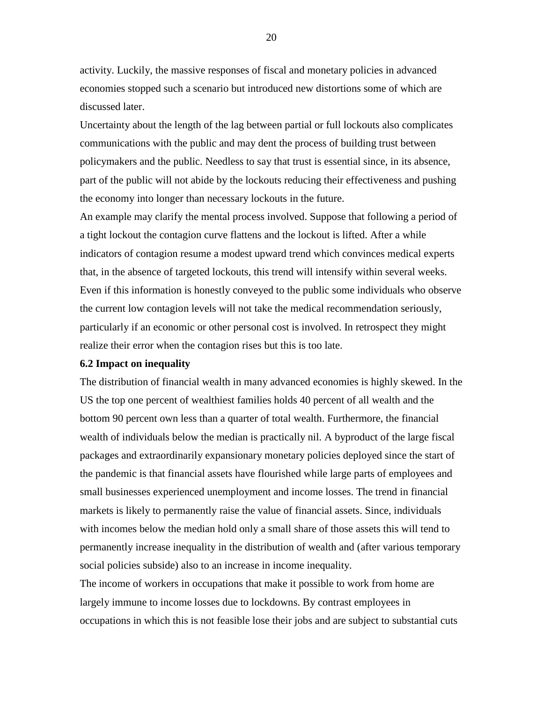activity. Luckily, the massive responses of fiscal and monetary policies in advanced economies stopped such a scenario but introduced new distortions some of which are discussed later.

Uncertainty about the length of the lag between partial or full lockouts also complicates communications with the public and may dent the process of building trust between policymakers and the public. Needless to say that trust is essential since, in its absence, part of the public will not abide by the lockouts reducing their effectiveness and pushing the economy into longer than necessary lockouts in the future.

An example may clarify the mental process involved. Suppose that following a period of a tight lockout the contagion curve flattens and the lockout is lifted. After a while indicators of contagion resume a modest upward trend which convinces medical experts that, in the absence of targeted lockouts, this trend will intensify within several weeks. Even if this information is honestly conveyed to the public some individuals who observe the current low contagion levels will not take the medical recommendation seriously, particularly if an economic or other personal cost is involved. In retrospect they might realize their error when the contagion rises but this is too late.

#### **6.2 Impact on inequality**

The distribution of financial wealth in many advanced economies is highly skewed. In the US the top one percent of wealthiest families holds 40 percent of all wealth and the bottom 90 percent own less than a quarter of total wealth. Furthermore, the financial wealth of individuals below the median is practically nil. A byproduct of the large fiscal packages and extraordinarily expansionary monetary policies deployed since the start of the pandemic is that financial assets have flourished while large parts of employees and small businesses experienced unemployment and income losses. The trend in financial markets is likely to permanently raise the value of financial assets. Since, individuals with incomes below the median hold only a small share of those assets this will tend to permanently increase inequality in the distribution of wealth and (after various temporary social policies subside) also to an increase in income inequality.

The income of workers in occupations that make it possible to work from home are largely immune to income losses due to lockdowns. By contrast employees in occupations in which this is not feasible lose their jobs and are subject to substantial cuts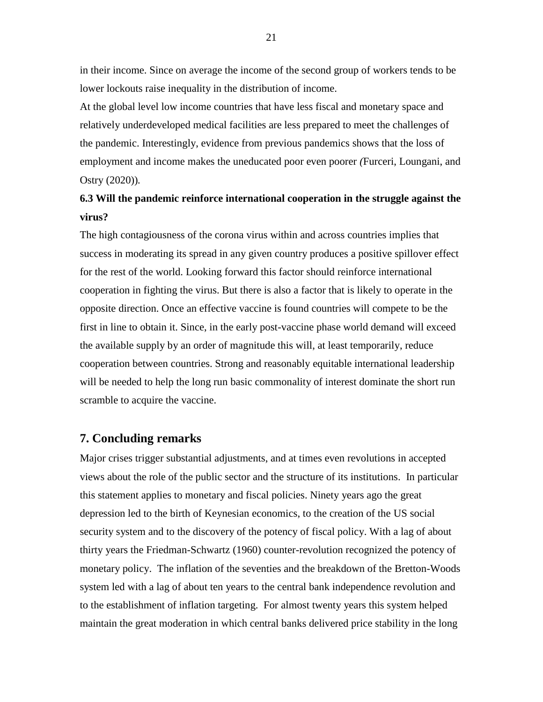in their income. Since on average the income of the second group of workers tends to be lower lockouts raise inequality in the distribution of income.

At the global level low income countries that have less fiscal and monetary space and relatively underdeveloped medical facilities are less prepared to meet the challenges of the pandemic. Interestingly, evidence from previous pandemics shows that the loss of employment and income makes the uneducated poor even poorer *(*Furceri, Loungani, and Ostry (2020))*.*

## **6.3 Will the pandemic reinforce international cooperation in the struggle against the virus?**

The high contagiousness of the corona virus within and across countries implies that success in moderating its spread in any given country produces a positive spillover effect for the rest of the world. Looking forward this factor should reinforce international cooperation in fighting the virus. But there is also a factor that is likely to operate in the opposite direction. Once an effective vaccine is found countries will compete to be the first in line to obtain it. Since, in the early post-vaccine phase world demand will exceed the available supply by an order of magnitude this will, at least temporarily, reduce cooperation between countries. Strong and reasonably equitable international leadership will be needed to help the long run basic commonality of interest dominate the short run scramble to acquire the vaccine.

### **7. Concluding remarks**

Major crises trigger substantial adjustments, and at times even revolutions in accepted views about the role of the public sector and the structure of its institutions. In particular this statement applies to monetary and fiscal policies. Ninety years ago the great depression led to the birth of Keynesian economics, to the creation of the US social security system and to the discovery of the potency of fiscal policy. With a lag of about thirty years the Friedman-Schwartz (1960) counter-revolution recognized the potency of monetary policy. The inflation of the seventies and the breakdown of the Bretton-Woods system led with a lag of about ten years to the central bank independence revolution and to the establishment of inflation targeting. For almost twenty years this system helped maintain the great moderation in which central banks delivered price stability in the long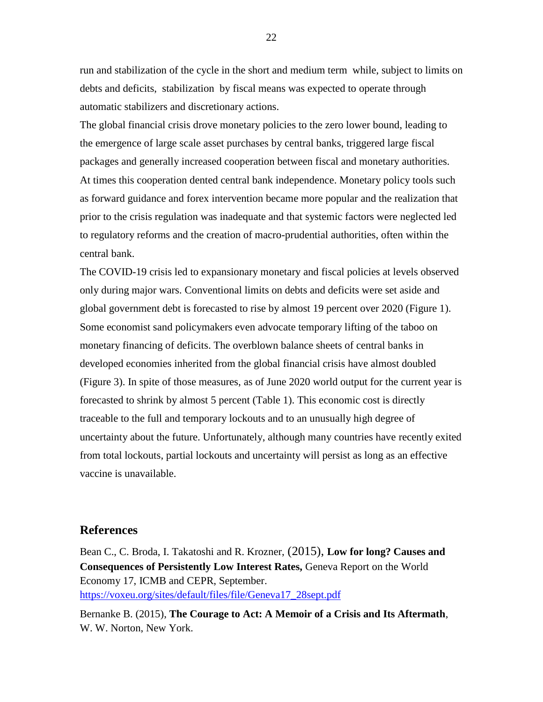run and stabilization of the cycle in the short and medium term while, subject to limits on debts and deficits, stabilization by fiscal means was expected to operate through automatic stabilizers and discretionary actions.

The global financial crisis drove monetary policies to the zero lower bound, leading to the emergence of large scale asset purchases by central banks, triggered large fiscal packages and generally increased cooperation between fiscal and monetary authorities. At times this cooperation dented central bank independence. Monetary policy tools such as forward guidance and forex intervention became more popular and the realization that prior to the crisis regulation was inadequate and that systemic factors were neglected led to regulatory reforms and the creation of macro-prudential authorities, often within the central bank.

The COVID-19 crisis led to expansionary monetary and fiscal policies at levels observed only during major wars. Conventional limits on debts and deficits were set aside and global government debt is forecasted to rise by almost 19 percent over 2020 (Figure 1). Some economist sand policymakers even advocate temporary lifting of the taboo on monetary financing of deficits. The overblown balance sheets of central banks in developed economies inherited from the global financial crisis have almost doubled (Figure 3). In spite of those measures, as of June 2020 world output for the current year is forecasted to shrink by almost 5 percent (Table 1). This economic cost is directly traceable to the full and temporary lockouts and to an unusually high degree of uncertainty about the future. Unfortunately, although many countries have recently exited from total lockouts, partial lockouts and uncertainty will persist as long as an effective vaccine is unavailable.

#### **References**

Bean C., C. Broda, I. Takatoshi and R. Krozner, (2015), **Low for long? Causes and Consequences of Persistently Low Interest Rates,** Geneva Report on the World Economy 17, ICMB and CEPR, September. [https://voxeu.org/sites/default/files/file/Geneva17\\_28sept.pdf](https://voxeu.org/sites/default/files/file/Geneva17_28sept.pdf)

Bernanke B. (2015), **The Courage to Act: A Memoir of a Crisis and Its Aftermath**, W. W. Norton, New York.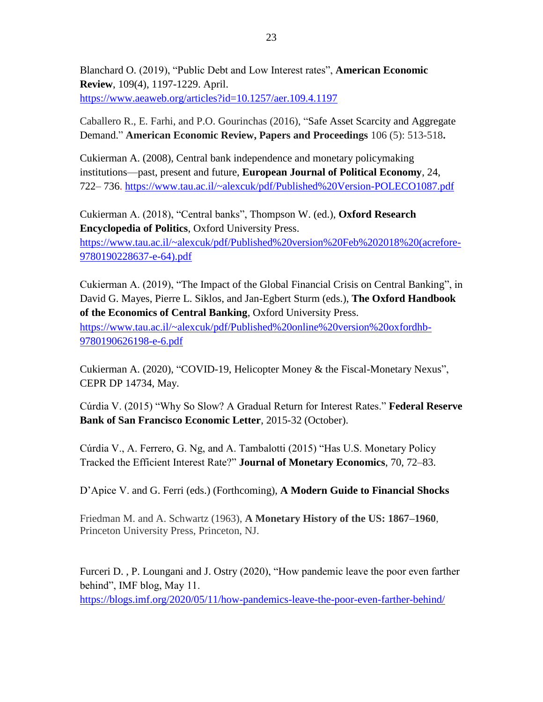Blanchard O. (2019), "Public Debt and Low Interest rates", **American Economic Review**, 109(4), 1197-1229. April. <https://www.aeaweb.org/articles?id=10.1257/aer.109.4.1197>

Caballero R., E. Farhi, and P.O. Gourinchas (2016), ["Safe Asset Scarcity and Aggregate](https://scholar.harvard.edu/farhi/publications/safe-asset-scarcity-and-aggregate-demand)  [Demand.](https://scholar.harvard.edu/farhi/publications/safe-asset-scarcity-and-aggregate-demand)" **American Economic Review, Papers and Proceedings** 106 (5): 513-518**.**

Cukierman A. (2008), Central bank independence and monetary policymaking institutions—past, present and future, **European Journal of Political Economy**, 24, 722– 736. <https://www.tau.ac.il/~alexcuk/pdf/Published%20Version-POLECO1087.pdf>

Cukierman A. (2018), "Central banks", Thompson W. (ed.), **Oxford Research Encyclopedia of Politics**, Oxford University Press. [https://www.tau.ac.il/~alexcuk/pdf/Published%20version%20Feb%202018%20\(acrefore-](https://www.tau.ac.il/~alexcuk/pdf/Published%20version%20Feb%202018%20(acrefore-9780190228637-e-64).pdf)[9780190228637-e-64\).pdf](https://www.tau.ac.il/~alexcuk/pdf/Published%20version%20Feb%202018%20(acrefore-9780190228637-e-64).pdf)

Cukierman A. (2019), "The Impact of the Global Financial Crisis on Central Banking", in David G. Mayes, Pierre L. Siklos, and Jan-Egbert Sturm (eds.), **The Oxford Handbook of the Economics of Central Banking**, Oxford University Press.

[https://www.tau.ac.il/~alexcuk/pdf/Published%20online%20version%20oxfordhb-](https://www.tau.ac.il/~alexcuk/pdf/Published%20online%20version%20oxfordhb-9780190626198-e-6.pdf)[9780190626198-e-6.pdf](https://www.tau.ac.il/~alexcuk/pdf/Published%20online%20version%20oxfordhb-9780190626198-e-6.pdf) 

Cukierman A. (2020), "COVID-19, Helicopter Money & the Fiscal-Monetary Nexus", CEPR DP 14734, May.

Cúrdia V. (2015) "Why So Slow? A Gradual Return for Interest Rates." **Federal Reserve Bank of San Francisco Economic Letter**, 2015-32 (October).

Cúrdia V., A. Ferrero, G. Ng, and A. Tambalotti (2015) "Has U.S. Monetary Policy Tracked the Efficient Interest Rate?" **Journal of Monetary Economics**, 70, 72–83.

D'Apice V. and G. Ferri (eds.) (Forthcoming), **A Modern Guide to Financial Shocks**

Friedman M. and A. Schwartz (1963), **A Monetary History of the US: 1867–1960**, Princeton University Press, Princeton, NJ.

[Furceri](https://blogs.imf.org/bloggers/davide-furceri/) D. , [P. Loungani](https://blogs.imf.org/bloggers/prakash-loungani/) and [J. Ostry](https://blogs.imf.org/bloggers/jonathan-d-ostry/) (2020), "How pandemic leave the poor even farther behind", IMF blog, May 11.

<https://blogs.imf.org/2020/05/11/how-pandemics-leave-the-poor-even-farther-behind/>